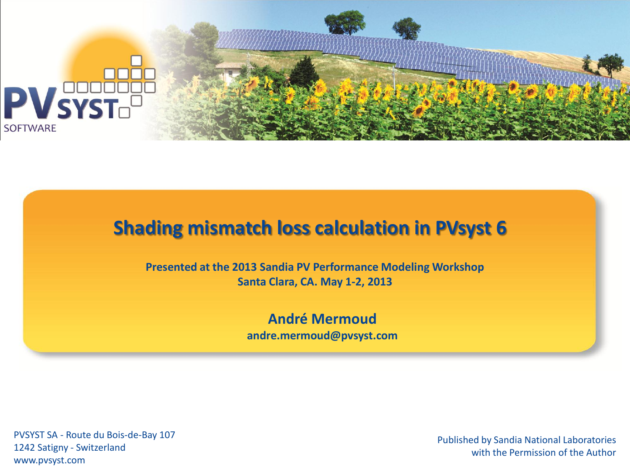

#### **Shading mismatch loss calculation in PVsyst 6**

**Presented at the 2013 Sandia PV Performance Modeling Workshop Santa Clara, CA. May 1-2, 2013**

> **André Mermoud andre.mermoud@pvsyst.com**

PVSYST SA - Route du Bois-de-Bay 107 1242 Satigny - Switzerland www.pvsyst.com

Published by Sandia National Laboratories with the Permission of the Author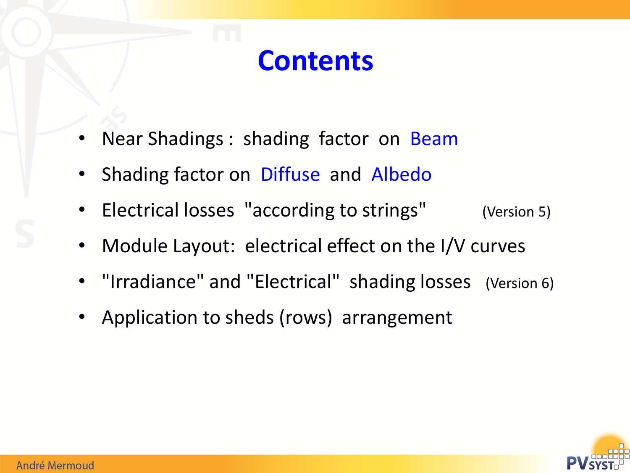# **Contents**

- Near Shadings : shading factor on Beam
- Shading factor on Diffuse and Albedo
- Electrical losses "according to strings" (Version 5)
- Module Layout: electrical effect on the I/V curves
- "Irradiance" and "Electrical" shading losses (Version 6)
- Application to sheds (rows) arrangement

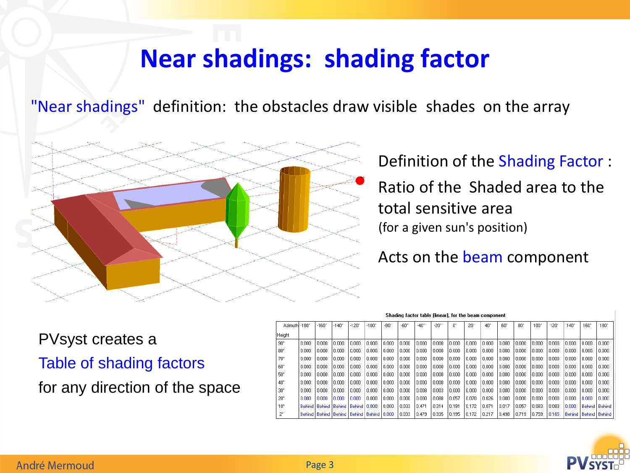#### **Near shadings: shading factor**

"Near shadings" definition: the obstacles draw visible shades on the array



Definition of the Shading Factor :

Ratio of the Shaded area to the total sensitive area (for a given sun's position)

Acts on the beam component

PVsyst creates a

Table of shading factors

for any direction of the space

|  |  |  | Shading factor table (linear), for the beam component |  |
|--|--|--|-------------------------------------------------------|--|
|  |  |  |                                                       |  |

| Azimuth -180° |       | $-160^{\circ}$ | $-140^{\circ}$                            | $-120^{\circ}$ | $-100^{\circ}$                                     | $-80^{\circ}$ | -nn*   | $-40^\circ$ | $-20^{\circ}$ | U,    | $20^{\circ}$ | $40^{\circ}$ | 60°   | 80°   | 100*  | 120°  | $140^{\circ}$ | $160^{\circ}$ | $180^{\circ}$            |
|---------------|-------|----------------|-------------------------------------------|----------------|----------------------------------------------------|---------------|--------|-------------|---------------|-------|--------------|--------------|-------|-------|-------|-------|---------------|---------------|--------------------------|
| Height        |       |                |                                           |                |                                                    |               |        |             |               |       |              |              |       |       |       |       |               |               |                          |
| $90^{\circ}$  | 0.000 | 0.000          | 0.000                                     | 0.000          | 0.000                                              | 0.000         | 0.000  | l 0.000     | 0.000         | 0.000 | 0.000        | 0.000        | 0.000 | 0.000 | 0.000 | 0.000 | 0.000         | 0.000         | 0.000                    |
| $80^{\circ}$  | 0.000 | 0.000          | 0.000                                     | 0.000          | 0.000                                              | 0.000         | 0.000  | l 0.000     | 0.000         | 0.000 | 0.000        | 0.000        | 0.000 | 0.000 | 0.000 | 0.000 | 0.000         | 0.000         | 0.000                    |
| $70^{\circ}$  | 0.000 | 0.000          | 0.000                                     | 0.000          | 0.000                                              | 0.000         | 0.000  | l 0.000     | 0.000         | 0.000 | 0.000        | 0.000        | 0.000 | 0.000 | 0.000 | 0.000 | 0.000         | 0.000         | 0.000                    |
| 60°           | 0.000 | 0.000          | 0.000                                     | 0.000          | 0.000                                              | 0.000         | 0.000  | 10.000      | 0.000         | 0.000 | 10.000       | 0.000        | 0.000 | 0.000 | 0.000 | 0.000 | 0.000         | 10.000        | 0.000                    |
| 50°           | 0.000 | 0.000          | 0.000                                     | 0.000          | 0.000                                              | 0.000         | 0.000  | 10.000      | 0.000         | 0.000 | 10.000       | 0.000        | 0.000 | 0.000 | 0.000 | 0.000 | 0.000         | 0.000         | 0.000                    |
| $40^{\circ}$  | 0.000 | 0.000          | 0.000                                     | 0.000          | 0.000                                              | 0.000         | 0.000  | l 0.000     | 0.000         | 0.000 | 0.000        | 0.000        | 0.000 | 0.000 | 0.000 | 0.000 | 0.000         | 0.000         | 0.000                    |
| $30^{\circ}$  | 0.000 | 0.000          | 0.000                                     | 0.000          | 0.000                                              | 0.000         | 0.000  | 0.008       | 0.003         | 0.000 | 0.000        | 0.000        | 0.000 | 0.000 | 0.000 | 0.000 | 0.000         | 0.000         | 0.000                    |
| $20^{\circ}$  | 0.000 | in non         | 10.000                                    | l 0.000        | 0.000                                              | 0.000         | 0.000  | 0.000       | 0.088         | 0.057 | 0.070        | 0.026        | 0.000 | 0.000 | 0.000 | 0.000 | 0.000         | 0.000         | 0.000                    |
| $10^{\circ}$  |       |                | Behind   Behind   Behind   Behind   0.000 |                |                                                    | 0.000         | 10.033 | 0.471       | 0.314         | 0.191 | 0.172        | 0.071        | 0.017 | 0.057 | 0.083 | 0.083 | 0.000         |               | Behind Behind            |
| 2°            |       |                |                                           |                | Behind   Behind   Behind   Behind   Behind   0.000 |               | 10.033 | 0.479       | 0.335         | 0.195 | 0.172        | 0.217        | 0.498 | 0.719 | 0.759 | 0.165 |               |               | Behind   Behind   Behind |

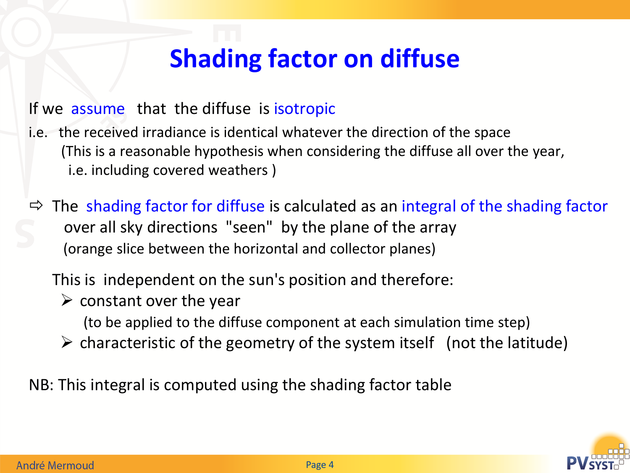## **Shading factor on diffuse**

#### If we assume that the diffuse is isotropic

- i.e. the received irradiance is identical whatever the direction of the space (This is a reasonable hypothesis when considering the diffuse all over the year, i.e. including covered weathers )
- $\Rightarrow$  The shading factor for diffuse is calculated as an integral of the shading factor over all sky directions "seen" by the plane of the array (orange slice between the horizontal and collector planes)

This is independent on the sun's position and therefore:

- $\triangleright$  constant over the year
	- (to be applied to the diffuse component at each simulation time step)
- $\triangleright$  characteristic of the geometry of the system itself (not the latitude)

NB: This integral is computed using the shading factor table

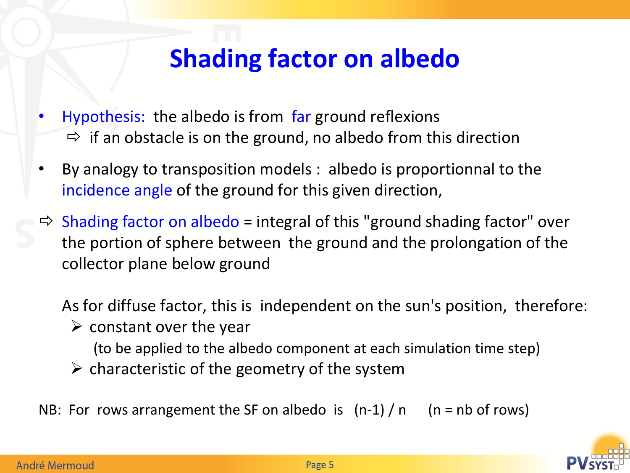## **Shading factor on albedo**

- Hypothesis: the albedo is from far ground reflexions  $\Rightarrow$  if an obstacle is on the ground, no albedo from this direction
- By analogy to transposition models : albedo is proportionnal to the incidence angle of the ground for this given direction,
- $\Rightarrow$  Shading factor on albedo = integral of this "ground shading factor" over the portion of sphere between the ground and the prolongation of the collector plane below ground

As for diffuse factor, this is independent on the sun's position, therefore:

 $\triangleright$  constant over the year

(to be applied to the albedo component at each simulation time step)

- $\triangleright$  characteristic of the geometry of the system
- NB: For rows arrangement the SF on albedo is  $(n-1) / n$  (n = nb of rows)

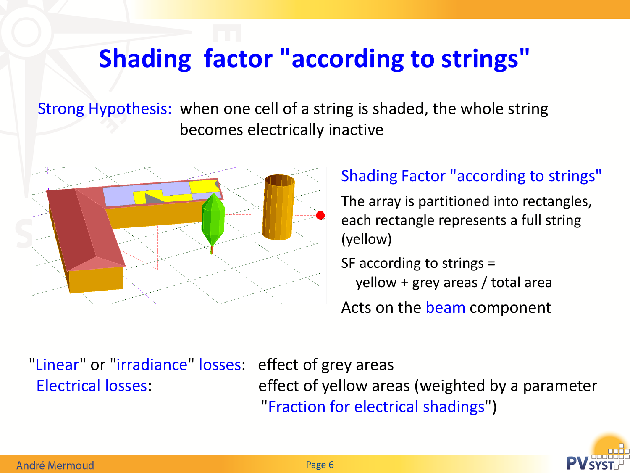# **Shading factor "according to strings"**

Strong Hypothesis: when one cell of a string is shaded, the whole string becomes electrically inactive



#### Shading Factor "according to strings"

The array is partitioned into rectangles, each rectangle represents a full string (yellow)

SF according to strings =

yellow + grey areas / total area

Acts on the beam component

"Linear" or "irradiance" losses: effect of grey areas

 Electrical losses: effect of yellow areas (weighted by a parameter "Fraction for electrical shadings")

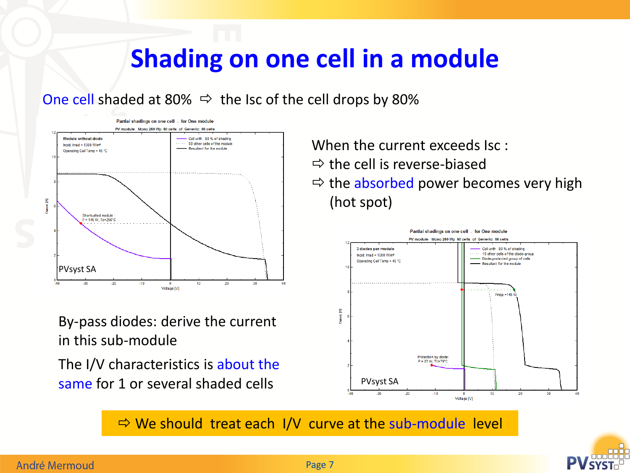#### **Shading on one cell in a module**

One cell shaded at 80%  $\Rightarrow$  the Isc of the cell drops by 80%



By-pass diodes: derive the current in this sub-module

The I/V characteristics is about the same for 1 or several shaded cells

When the current exceeds Isc :

- $\Rightarrow$  the cell is reverse-biased
- $\Rightarrow$  the absorbed power becomes very high (hot spot)



 $\Rightarrow$  We should treat each I/V curve at the sub-module level



#### André Mermoud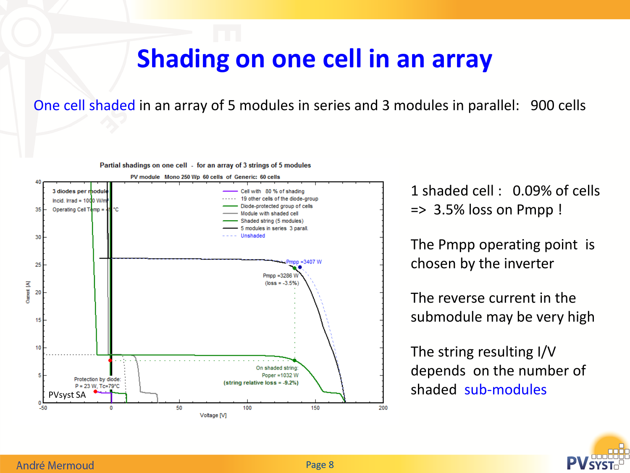#### **Shading on one cell in an array**

One cell shaded in an array of 5 modules in series and 3 modules in parallel: 900 cells



Partial shadings on one cell - for an array of 3 strings of 5 modules

1 shaded cell : 0.09% of cells  $\Rightarrow$  3.5% loss on Pmpp !

The Pmpp operating point is chosen by the inverter

The reverse current in the submodule may be very high

The string resulting I/V depends on the number of

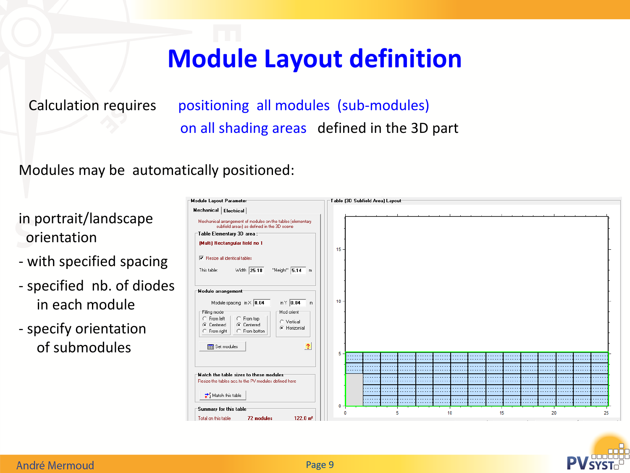## **Module Layout definition**

Calculation requires positioning all modules (sub-modules) on all shading areas defined in the 3D part

Modules may be automatically positioned:

in portrait/landscape orientation

- with specified spacing
- specified nb. of diodes in each module
- specify orientation of submodules

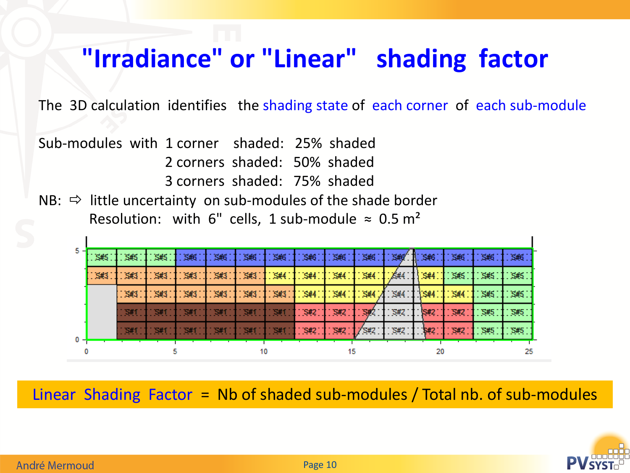#### **"Irradiance" or "Linear" shading factor**

The 3D calculation identifies the shading state of each corner of each sub-module

Sub-modules with 1 corner shaded: 25% shaded 2 corners shaded: 50% shaded

- 3 corners shaded: 75% shaded
- NB:  $\Rightarrow$  little uncertainty on sub-modules of the shade border Resolution: with 6" cells, 1 sub-module  $\approx 0.5$  m<sup>2</sup>

| 5 -   | S#5 | S#5  | S#5  | S#6  | \$#6 |      | S#6 I S#6 | S#6.       | S#6        | \$#6       | S#G        | S#6        | S#6        | \$#6       | \$#6 |  |
|-------|-----|------|------|------|------|------|-----------|------------|------------|------------|------------|------------|------------|------------|------|--|
|       | S#3 | \$43 | S#3  | \$#3 | \$#3 | \$43 | \$44      | S#4        | S#4        | S#4        | .8#4       | S#4        | \$45       | S#5        | S#5  |  |
|       |     | S#3  | \$#3 | S#3  | S#3  | S#3  | \$#3      | S#4        | S#4        | S#4        | S#4        | <b>S#4</b> | S#4        | S#5        | S#5  |  |
|       |     |      |      |      |      |      |           | <b>S#2</b> | S#2        |            | <b>S#2</b> | <b>S#2</b> | S#2        | <b>S#5</b> | S#5  |  |
| $0 -$ |     |      |      |      |      |      |           | <b>S#2</b> | <b>S#2</b> | <b>S#2</b> | S#2        |            | <b>S#2</b> | <b>S#5</b> | S#5  |  |
|       |     |      |      |      |      |      |           |            |            |            |            |            |            |            | 25   |  |

Linear Shading Factor = Nb of shaded sub-modules / Total nb. of sub-modules



 $\mathbf{I}$ 

 $\mathbf{I}$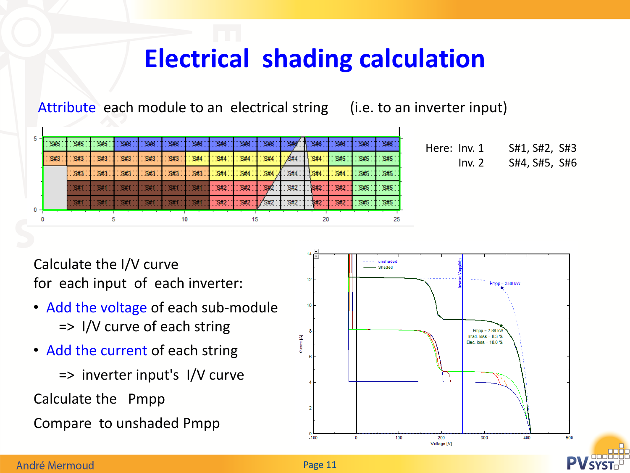## **Electrical shading calculation**

Attribute each module to an electrical string (i.e. to an inverter input)

| 5 H | S#5 | S#5       | S#5  | \$46 | \$46 | S#6  | S#6  | S#6        | \$46       | \$46       | S#6'       | $\mathbb{T}$ : S#6 | \$46       | S#6   | S#6 |
|-----|-----|-----------|------|------|------|------|------|------------|------------|------------|------------|--------------------|------------|-------|-----|
|     | S#3 | S#3       | S#3  | S#3  | S#3  | S#3  | \$44 | \$44       | S#4        | \$44       | 5#4        | <b>S#4</b>         | S#5        | - S#5 | S#5 |
|     |     | S#3       | \$H3 | \$H3 | \$43 | \$H3 | \$43 | S#4        | S#4        | \$44       | \$#4       | S#4                | S#4        | S#5   | S#5 |
|     |     | <b>S#</b> |      |      |      |      |      | <b>S#2</b> | S#2        | S#         | <b>S#2</b> | <b>S#2</b>         | S#2        | S#5   | S#5 |
|     |     | SШ        |      |      |      |      |      | <b>S#2</b> | <b>S#2</b> | <b>S#2</b> | <b>S#2</b> | <b>S#2</b>         | <b>S#2</b> | S#5   | S#5 |
| 0 - |     |           |      |      |      |      |      |            | 15         |            |            |                    |            |       | 25  |

| Here: Inv. 1 |        | S#1, S#2, S#3 |  |
|--------------|--------|---------------|--|
|              | Inv. 2 | S#4, S#5, S#6 |  |

Calculate the I/V curve for each input of each inverter:

- Add the voltage of each sub-module => I/V curve of each string
- Add the current of each string

=> inverter input's I/V curve

Calculate the Pmpp

Compare to unshaded Pmpp

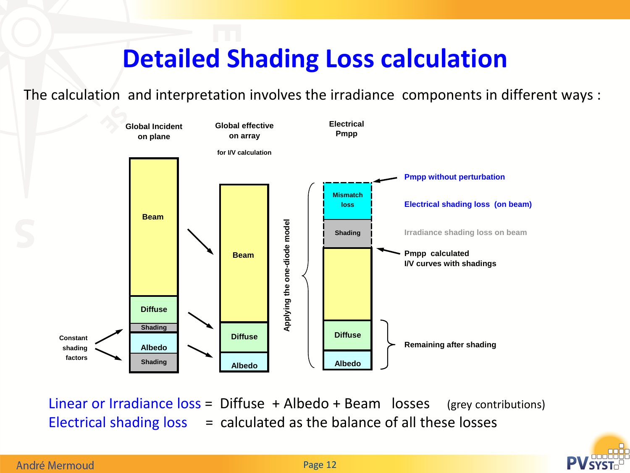## **Detailed Shading Loss calculation**

The calculation and interpretation involves the irradiance components in different ways :



Linear or Irradiance  $loss = Diffuse + Albedo + Bean$  losses (grey contributions) Electrical shading  $loss$  = calculated as the balance of all these losses

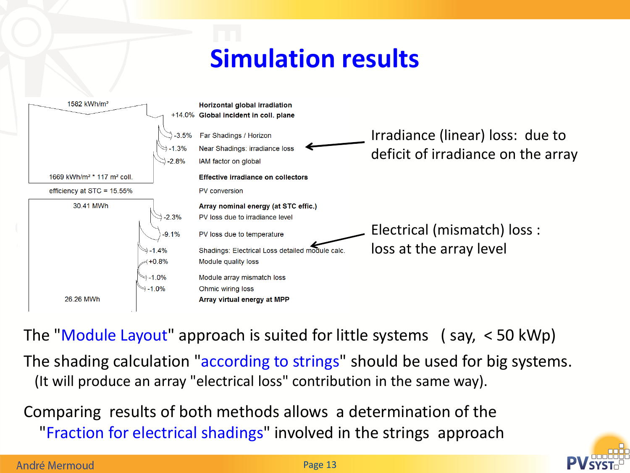## **Simulation results**



The "Module Layout" approach is suited for little systems ( say, < 50 kWp) The shading calculation "according to strings" should be used for big systems. (It will produce an array "electrical loss" contribution in the same way).

Comparing results of both methods allows a determination of the "Fraction for electrical shadings" involved in the strings approach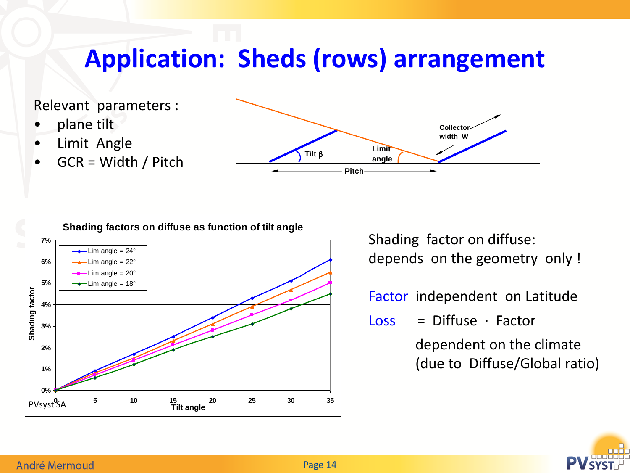## **Application: Sheds (rows) arrangement**

Relevant parameters :

- plane tilt
- Limit Angle
- GCR = Width / Pitch





Shading factor on diffuse: depends on the geometry only !

Factor independent on Latitude

 $Loss = Diffuse \cdot Factor$ 

 dependent on the climate (due to Diffuse/Global ratio)



#### André Mermoud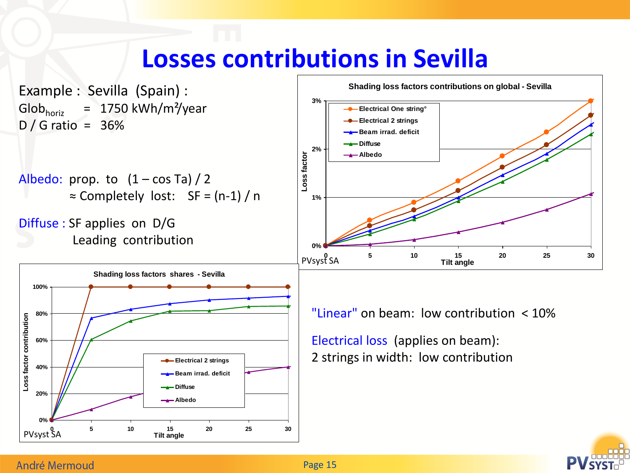## **Losses contributions in Sevilla**

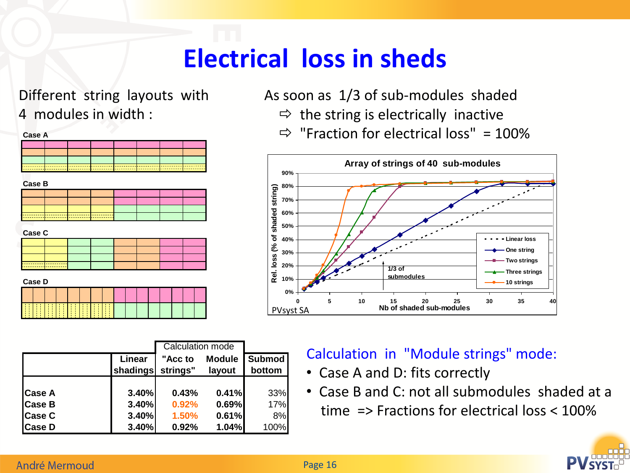## **Electrical loss in sheds**

Different string layouts with 4 modules in width :



|               |          | Calculation mode |               |               |
|---------------|----------|------------------|---------------|---------------|
|               | Linear   | "Acc to          | <b>Module</b> | <b>Submod</b> |
|               | shadings | strings"         | layout        | bottom        |
|               |          |                  |               |               |
| <b>Case A</b> | 3.40%    | 0.43%            | 0.41%         | 33%           |
| <b>Case B</b> | 3.40%    | 0.92%            | 0.69%         | 17%           |
| <b>Case C</b> | 3.40%    | 1.50%            | 0.61%         | 8%            |
| <b>Case D</b> | 3.40%    | 0.92%            | 1.04%         | 100%          |

As soon as 1/3 of sub-modules shaded

- $\Rightarrow$  the string is electrically inactive
- $\Rightarrow$  "Fraction for electrical loss" = 100%



#### Calculation in "Module strings" mode:

- Case A and D: fits correctly
- Case B and C: not all submodules shaded at a time => Fractions for electrical loss < 100%



#### André Mermoud